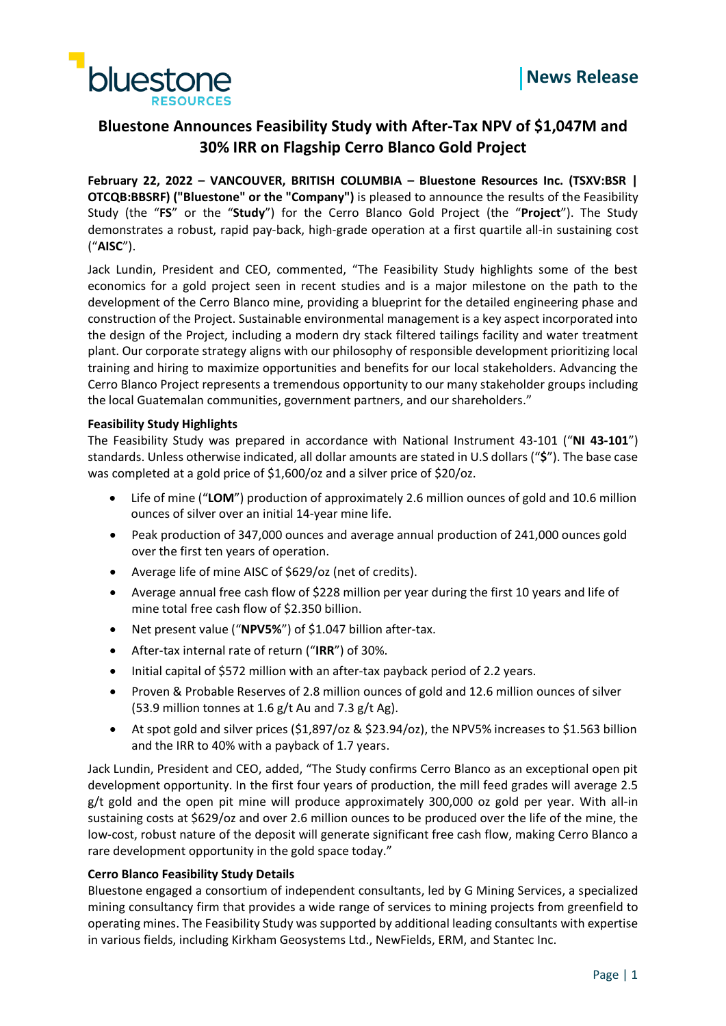



# **Bluestone Announces Feasibility Study with After-Tax NPV of \$1,047M and 30% IRR on Flagship Cerro Blanco Gold Project**

**February 22, 2022 – VANCOUVER, BRITISH COLUMBIA – Bluestone Resources Inc. (TSXV:BSR | OTCQB:BBSRF) ("Bluestone" or the "Company")** is pleased to announce the results of the Feasibility Study (the "**FS**" or the "**Study**") for the Cerro Blanco Gold Project (the "**Project**"). The Study demonstrates a robust, rapid pay-back, high-grade operation at a first quartile all-in sustaining cost ("**AISC**").

Jack Lundin, President and CEO, commented, "The Feasibility Study highlights some of the best economics for a gold project seen in recent studies and is a major milestone on the path to the development of the Cerro Blanco mine, providing a blueprint for the detailed engineering phase and construction of the Project. Sustainable environmental management is a key aspect incorporated into the design of the Project, including a modern dry stack filtered tailings facility and water treatment plant. Our corporate strategy aligns with our philosophy of responsible development prioritizing local training and hiring to maximize opportunities and benefits for our local stakeholders. Advancing the Cerro Blanco Project represents a tremendous opportunity to our many stakeholder groups including the local Guatemalan communities, government partners, and our shareholders."

# **Feasibility Study Highlights**

The Feasibility Study was prepared in accordance with National Instrument 43-101 ("**NI 43-101**") standards. Unless otherwise indicated, all dollar amounts are stated in U.S dollars ("**\$**"). The base case was completed at a gold price of \$1,600/oz and a silver price of \$20/oz.

- Life of mine ("**LOM**") production of approximately 2.6 million ounces of gold and 10.6 million ounces of silver over an initial 14-year mine life.
- Peak production of 347,000 ounces and average annual production of 241,000 ounces gold over the first ten years of operation.
- Average life of mine AISC of \$629/oz (net of credits).
- Average annual free cash flow of \$228 million per year during the first 10 years and life of mine total free cash flow of \$2.350 billion.
- Net present value ("**NPV5%**") of \$1.047 billion after-tax.
- After-tax internal rate of return ("**IRR**") of 30%.
- Initial capital of \$572 million with an after-tax payback period of 2.2 years.
- Proven & Probable Reserves of 2.8 million ounces of gold and 12.6 million ounces of silver (53.9 million tonnes at 1.6  $g/t$  Au and 7.3  $g/t$  Ag).
- At spot gold and silver prices (\$1,897/oz & \$23.94/oz), the NPV5% increases to \$1.563 billion and the IRR to 40% with a payback of 1.7 years.

Jack Lundin, President and CEO, added, "The Study confirms Cerro Blanco as an exceptional open pit development opportunity. In the first four years of production, the mill feed grades will average 2.5 g/t gold and the open pit mine will produce approximately 300,000 oz gold per year. With all-in sustaining costs at \$629/oz and over 2.6 million ounces to be produced over the life of the mine, the low-cost, robust nature of the deposit will generate significant free cash flow, making Cerro Blanco a rare development opportunity in the gold space today."

# **Cerro Blanco Feasibility Study Details**

Bluestone engaged a consortium of independent consultants, led by G Mining Services, a specialized mining consultancy firm that provides a wide range of services to mining projects from greenfield to operating mines. The Feasibility Study was supported by additional leading consultants with expertise in various fields, including Kirkham Geosystems Ltd., NewFields, ERM, and Stantec Inc.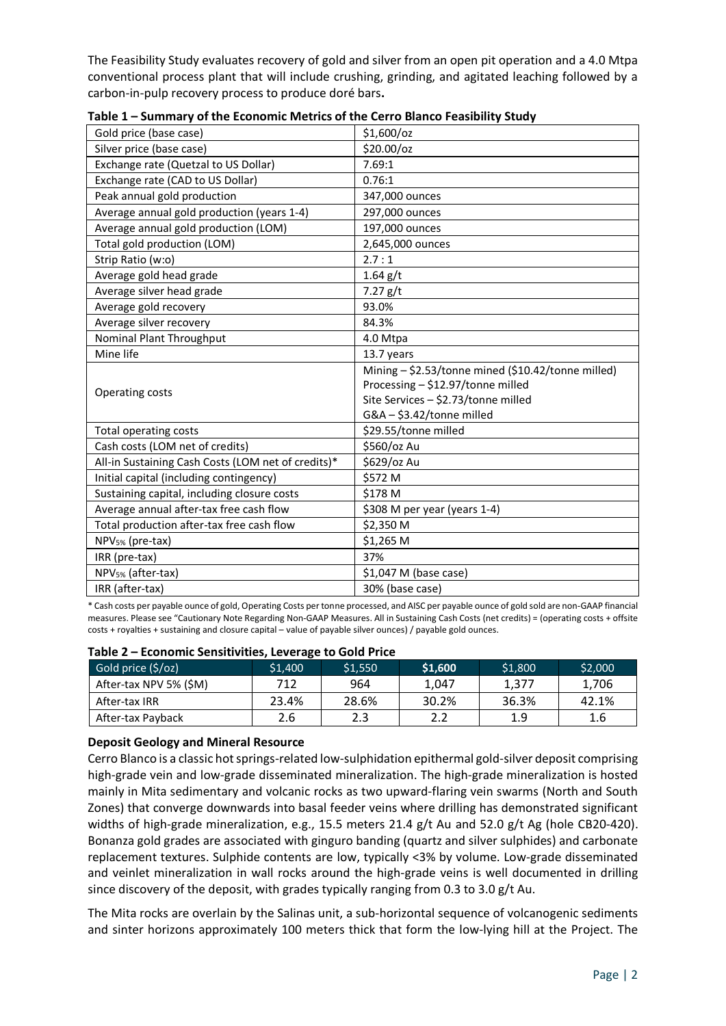The Feasibility Study evaluates recovery of gold and silver from an open pit operation and a 4.0 Mtpa conventional process plant that will include crushing, grinding, and agitated leaching followed by a carbon-in-pulp recovery process to produce doré bars**.**

| Gold price (base case)                             | \$1,600/oz                                         |
|----------------------------------------------------|----------------------------------------------------|
| Silver price (base case)                           | \$20.00/oz                                         |
| Exchange rate (Quetzal to US Dollar)               | 7.69:1                                             |
| Exchange rate (CAD to US Dollar)                   | 0.76:1                                             |
| Peak annual gold production                        | 347,000 ounces                                     |
| Average annual gold production (years 1-4)         | 297,000 ounces                                     |
| Average annual gold production (LOM)               | 197,000 ounces                                     |
| Total gold production (LOM)                        | 2,645,000 ounces                                   |
| Strip Ratio (w:o)                                  | 2.7:1                                              |
| Average gold head grade                            | $1.64$ g/t                                         |
| Average silver head grade                          | 7.27 g/t                                           |
| Average gold recovery                              | 93.0%                                              |
| Average silver recovery                            | 84.3%                                              |
| Nominal Plant Throughput                           | 4.0 Mtpa                                           |
| Mine life                                          | 13.7 years                                         |
|                                                    | Mining - \$2.53/tonne mined (\$10.42/tonne milled) |
| Operating costs                                    | Processing - \$12.97/tonne milled                  |
|                                                    | Site Services - \$2.73/tonne milled                |
|                                                    | G&A - \$3.42/tonne milled                          |
| <b>Total operating costs</b>                       | \$29.55/tonne milled                               |
| Cash costs (LOM net of credits)                    | \$560/oz Au                                        |
| All-in Sustaining Cash Costs (LOM net of credits)* | \$629/oz Au                                        |
| Initial capital (including contingency)            | \$572 M                                            |
| Sustaining capital, including closure costs        | \$178 M                                            |
| Average annual after-tax free cash flow            | \$308 M per year (years 1-4)                       |
| Total production after-tax free cash flow          | \$2,350 M                                          |
| NPV <sub>5%</sub> (pre-tax)                        | \$1,265 M                                          |
| IRR (pre-tax)                                      | 37%                                                |
| NPV <sub>5%</sub> (after-tax)                      | \$1,047 M (base case)                              |
| IRR (after-tax)                                    | 30% (base case)                                    |
|                                                    |                                                    |

**Table 1 – Summary of the Economic Metrics of the Cerro Blanco Feasibility Study**

\* Cash costs per payable ounce of gold, Operating Costs per tonne processed, and AISC per payable ounce of gold sold are non-GAAP financial measures. Please see "Cautionary Note Regarding Non-GAAP Measures. All in Sustaining Cash Costs (net credits) = (operating costs + offsite costs + royalties + sustaining and closure capital – value of payable silver ounces) / payable gold ounces.

| Gold price $(\frac{5}{2})$ | \$1,400 | \$1,550 | \$1,600 | \$1,800 | \$2,000 |  |  |  |
|----------------------------|---------|---------|---------|---------|---------|--|--|--|
| After-tax NPV 5% (\$M)     | 712     | 964     | 1.047   | 1.377   | 1,706   |  |  |  |
| After-tax IRR              | 23.4%   | 28.6%   | 30.2%   | 36.3%   | 42.1%   |  |  |  |
| After-tax Payback          | 2.6     | 2.3     | 2.2     | 1.9     | 1.6     |  |  |  |

**Table 2 – Economic Sensitivities, Leverage to Gold Price**

# **Deposit Geology and Mineral Resource**

Cerro Blanco is a classic hot springs-related low-sulphidation epithermal gold-silver deposit comprising high-grade vein and low-grade disseminated mineralization. The high-grade mineralization is hosted mainly in Mita sedimentary and volcanic rocks as two upward-flaring vein swarms (North and South Zones) that converge downwards into basal feeder veins where drilling has demonstrated significant widths of high-grade mineralization, e.g., 15.5 meters 21.4 g/t Au and 52.0 g/t Ag (hole CB20-420). Bonanza gold grades are associated with ginguro banding (quartz and silver sulphides) and carbonate replacement textures. Sulphide contents are low, typically <3% by volume. Low-grade disseminated and veinlet mineralization in wall rocks around the high-grade veins is well documented in drilling since discovery of the deposit, with grades typically ranging from 0.3 to 3.0 g/t Au.

The Mita rocks are overlain by the Salinas unit, a sub-horizontal sequence of volcanogenic sediments and sinter horizons approximately 100 meters thick that form the low-lying hill at the Project. The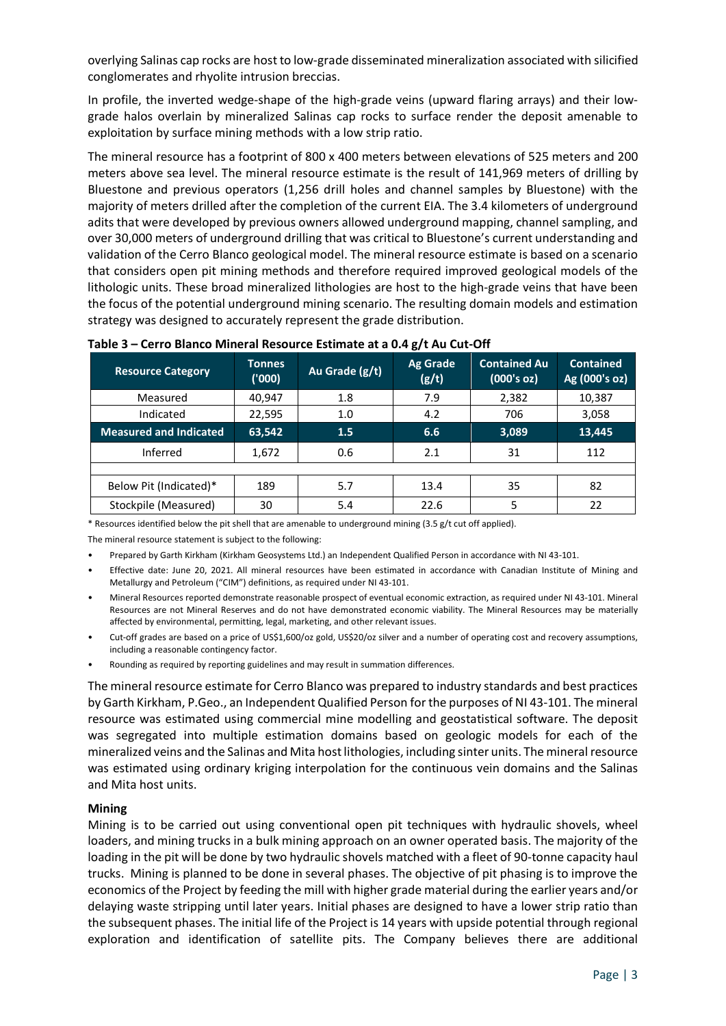overlying Salinas cap rocks are host to low-grade disseminated mineralization associated with silicified conglomerates and rhyolite intrusion breccias.

In profile, the inverted wedge-shape of the high-grade veins (upward flaring arrays) and their lowgrade halos overlain by mineralized Salinas cap rocks to surface render the deposit amenable to exploitation by surface mining methods with a low strip ratio.

The mineral resource has a footprint of 800 x 400 meters between elevations of 525 meters and 200 meters above sea level. The mineral resource estimate is the result of 141,969 meters of drilling by Bluestone and previous operators (1,256 drill holes and channel samples by Bluestone) with the majority of meters drilled after the completion of the current EIA. The 3.4 kilometers of underground adits that were developed by previous owners allowed underground mapping, channel sampling, and over 30,000 meters of underground drilling that was critical to Bluestone's current understanding and validation of the Cerro Blanco geological model. The mineral resource estimate is based on a scenario that considers open pit mining methods and therefore required improved geological models of the lithologic units. These broad mineralized lithologies are host to the high-grade veins that have been the focus of the potential underground mining scenario. The resulting domain models and estimation strategy was designed to accurately represent the grade distribution.

| <b>Resource Category</b>      | <b>Tonnes</b><br>(000) | Au Grade (g/t) | <b>Ag Grade</b><br>(g/t) | <b>Contained Au</b><br>(000's oz) | <b>Contained</b><br>Ag (000's oz) |
|-------------------------------|------------------------|----------------|--------------------------|-----------------------------------|-----------------------------------|
| Measured                      | 40,947                 | 1.8            | 7.9                      | 2,382                             | 10,387                            |
| Indicated                     | 22,595                 | 1.0            | 4.2                      | 706                               | 3,058                             |
| <b>Measured and Indicated</b> | 63,542                 | 1.5            | 6.6                      | 3,089                             | 13,445                            |
| Inferred                      | 1,672                  | 0.6            | 2.1                      | 31                                | 112                               |
|                               |                        |                |                          |                                   |                                   |
| Below Pit (Indicated)*        | 189                    | 5.7            | 13.4                     | 35                                | 82                                |
| Stockpile (Measured)          | 30                     | 5.4            | 22.6                     | 5                                 | 22                                |

# **Table 3 – Cerro Blanco Mineral Resource Estimate at a 0.4 g/t Au Cut-Off**

\* Resources identified below the pit shell that are amenable to underground mining (3.5 g/t cut off applied).

The mineral resource statement is subject to the following:

- Prepared by Garth Kirkham (Kirkham Geosystems Ltd.) an Independent Qualified Person in accordance with NI 43-101.
- Effective date: June 20, 2021. All mineral resources have been estimated in accordance with Canadian Institute of Mining and Metallurgy and Petroleum ("CIM") definitions, as required under NI 43-101.
- Mineral Resources reported demonstrate reasonable prospect of eventual economic extraction, as required under NI 43-101. Mineral Resources are not Mineral Reserves and do not have demonstrated economic viability. The Mineral Resources may be materially affected by environmental, permitting, legal, marketing, and other relevant issues.
- Cut-off grades are based on a price of US\$1,600/oz gold, US\$20/oz silver and a number of operating cost and recovery assumptions, including a reasonable contingency factor.
- Rounding as required by reporting guidelines and may result in summation differences.

The mineral resource estimate for Cerro Blanco was prepared to industry standards and best practices by Garth Kirkham, P.Geo., an Independent Qualified Person for the purposes of NI 43-101. The mineral resource was estimated using commercial mine modelling and geostatistical software. The deposit was segregated into multiple estimation domains based on geologic models for each of the mineralized veins and the Salinas and Mita host lithologies, including sinter units. The mineral resource was estimated using ordinary kriging interpolation for the continuous vein domains and the Salinas and Mita host units.

# **Mining**

Mining is to be carried out using conventional open pit techniques with hydraulic shovels, wheel loaders, and mining trucks in a bulk mining approach on an owner operated basis. The majority of the loading in the pit will be done by two hydraulic shovels matched with a fleet of 90-tonne capacity haul trucks. Mining is planned to be done in several phases. The objective of pit phasing is to improve the economics of the Project by feeding the mill with higher grade material during the earlier years and/or delaying waste stripping until later years. Initial phases are designed to have a lower strip ratio than the subsequent phases. The initial life of the Project is 14 years with upside potential through regional exploration and identification of satellite pits. The Company believes there are additional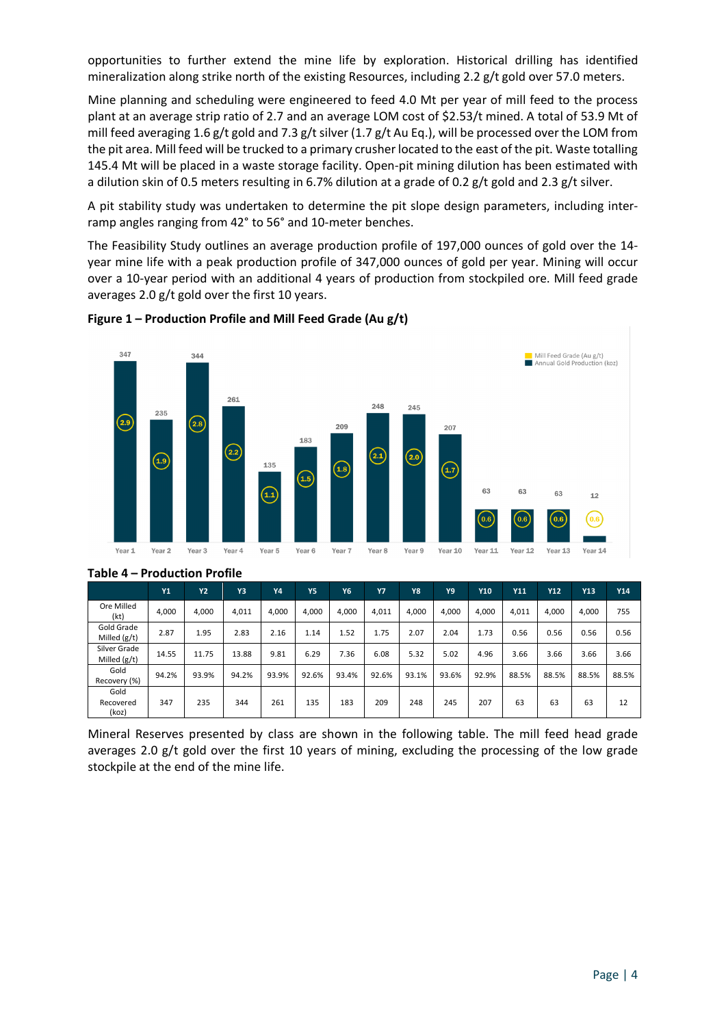opportunities to further extend the mine life by exploration. Historical drilling has identified mineralization along strike north of the existing Resources, including 2.2 g/t gold over 57.0 meters.

Mine planning and scheduling were engineered to feed 4.0 Mt per year of mill feed to the process plant at an average strip ratio of 2.7 and an average LOM cost of \$2.53/t mined. A total of 53.9 Mt of mill feed averaging 1.6 g/t gold and 7.3 g/t silver (1.7 g/t Au Eq.), will be processed over the LOM from the pit area. Mill feed will be trucked to a primary crusher located to the east of the pit. Waste totalling 145.4 Mt will be placed in a waste storage facility. Open-pit mining dilution has been estimated with a dilution skin of 0.5 meters resulting in 6.7% dilution at a grade of 0.2 g/t gold and 2.3 g/t silver.

A pit stability study was undertaken to determine the pit slope design parameters, including interramp angles ranging from 42° to 56° and 10-meter benches.

The Feasibility Study outlines an average production profile of 197,000 ounces of gold over the 14 year mine life with a peak production profile of 347,000 ounces of gold per year. Mining will occur over a 10-year period with an additional 4 years of production from stockpiled ore. Mill feed grade averages 2.0 g/t gold over the first 10 years.





|                                | Y1    | Y2    | Y3    | <b>Y4</b> | <b>Y5</b> | Y <sub>6</sub> | <b>Y7</b> | Y8    | Υ9    | <b>Y10</b> | Y11   | Y12   | <b>Y13</b> | Y14   |
|--------------------------------|-------|-------|-------|-----------|-----------|----------------|-----------|-------|-------|------------|-------|-------|------------|-------|
| Ore Milled<br>(kt)             | 4.000 | 4,000 | 4,011 | 4.000     | 4.000     | 4.000          | 4,011     | 4,000 | 4,000 | 4.000      | 4,011 | 4,000 | 4.000      | 755   |
| Gold Grade<br>Milled $(g/t)$   | 2.87  | 1.95  | 2.83  | 2.16      | 1.14      | 1.52           | 1.75      | 2.07  | 2.04  | 1.73       | 0.56  | 0.56  | 0.56       | 0.56  |
| Silver Grade<br>Milled $(g/t)$ | 14.55 | 11.75 | 13.88 | 9.81      | 6.29      | 7.36           | 6.08      | 5.32  | 5.02  | 4.96       | 3.66  | 3.66  | 3.66       | 3.66  |
| Gold<br>Recovery (%)           | 94.2% | 93.9% | 94.2% | 93.9%     | 92.6%     | 93.4%          | 92.6%     | 93.1% | 93.6% | 92.9%      | 88.5% | 88.5% | 88.5%      | 88.5% |
| Gold<br>Recovered<br>(koz)     | 347   | 235   | 344   | 261       | 135       | 183            | 209       | 248   | 245   | 207        | 63    | 63    | 63         | 12    |

# **Table 4 – Production Profile**

Mineral Reserves presented by class are shown in the following table. The mill feed head grade averages 2.0 g/t gold over the first 10 years of mining, excluding the processing of the low grade stockpile at the end of the mine life.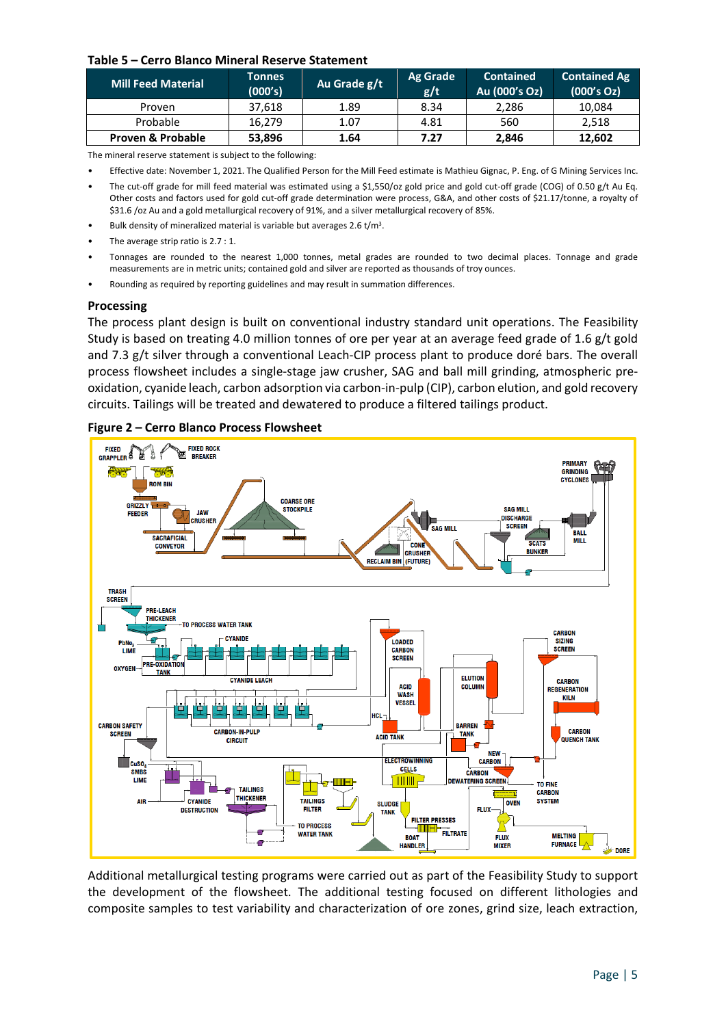### **Table 5 – Cerro Blanco Mineral Reserve Statement**

| <b>Mill Feed Material</b>    | <b>Tonnes</b><br>(000's) | Au Grade g/t | Ag Grade<br>g/t | <b>Contained</b><br>Au (000's Oz) | <b>Contained Ag</b><br>(000's Oz) |
|------------------------------|--------------------------|--------------|-----------------|-----------------------------------|-----------------------------------|
| Proven                       | 37.618                   | 1.89         | 8.34            | 2,286                             | 10,084                            |
| Probable                     | 16.279                   | 1.07         | 4.81            | 560                               | 2,518                             |
| <b>Proven &amp; Probable</b> | 53,896                   | 1.64         | 7.27            | 2,846                             | 12,602                            |

The mineral reserve statement is subject to the following:

- Effective date: November 1, 2021. The Qualified Person for the Mill Feed estimate is Mathieu Gignac, P. Eng. of G Mining Services Inc.
- The cut-off grade for mill feed material was estimated using a \$1,550/oz gold price and gold cut-off grade (COG) of 0.50 g/t Au Eq. Other costs and factors used for gold cut-off grade determination were process, G&A, and other costs of \$21.17/tonne, a royalty of \$31.6 /oz Au and a gold metallurgical recovery of 91%, and a silver metallurgical recovery of 85%.
- Bulk density of mineralized material is variable but averages 2.6  $t/m<sup>3</sup>$ .
- The average strip ratio is 2.7 : 1.
- Tonnages are rounded to the nearest 1,000 tonnes, metal grades are rounded to two decimal places. Tonnage and grade measurements are in metric units; contained gold and silver are reported as thousands of troy ounces.
- Rounding as required by reporting guidelines and may result in summation differences.

### **Processing**

The process plant design is built on conventional industry standard unit operations. The Feasibility Study is based on treating 4.0 million tonnes of ore per year at an average feed grade of 1.6 g/t gold and 7.3 g/t silver through a conventional Leach-CIP process plant to produce doré bars. The overall process flowsheet includes a single-stage jaw crusher, SAG and ball mill grinding, atmospheric preoxidation, cyanide leach, carbon adsorption via carbon-in-pulp (CIP), carbon elution, and gold recovery circuits. Tailings will be treated and dewatered to produce a filtered tailings product.





Additional metallurgical testing programs were carried out as part of the Feasibility Study to support the development of the flowsheet. The additional testing focused on different lithologies and composite samples to test variability and characterization of ore zones, grind size, leach extraction,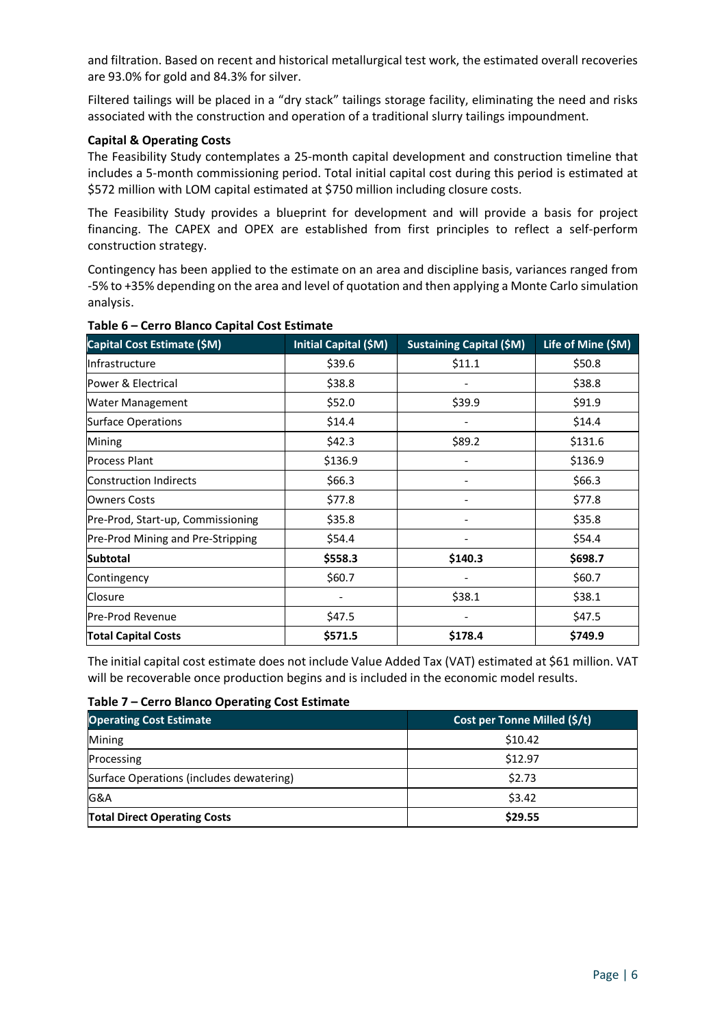and filtration. Based on recent and historical metallurgical test work, the estimated overall recoveries are 93.0% for gold and 84.3% for silver.

Filtered tailings will be placed in a "dry stack" tailings storage facility, eliminating the need and risks associated with the construction and operation of a traditional slurry tailings impoundment.

# **Capital & Operating Costs**

The Feasibility Study contemplates a 25-month capital development and construction timeline that includes a 5-month commissioning period. Total initial capital cost during this period is estimated at \$572 million with LOM capital estimated at \$750 million including closure costs.

The Feasibility Study provides a blueprint for development and will provide a basis for project financing. The CAPEX and OPEX are established from first principles to reflect a self-perform construction strategy.

Contingency has been applied to the estimate on an area and discipline basis, variances ranged from -5% to +35% depending on the area and level of quotation and then applying a Monte Carlo simulation analysis.

| Capital Cost Estimate (\$M)       | Initial Capital (\$M) | <b>Sustaining Capital (\$M)</b> | Life of Mine (\$M) |
|-----------------------------------|-----------------------|---------------------------------|--------------------|
| Infrastructure                    | \$39.6                | \$11.1                          | \$50.8             |
| Power & Electrical                | \$38.8                |                                 | \$38.8             |
| Water Management                  | \$52.0                | \$39.9                          | \$91.9             |
| <b>Surface Operations</b>         | \$14.4                |                                 | \$14.4             |
| Mining                            | \$42.3                | \$89.2                          | \$131.6            |
| <b>Process Plant</b>              | \$136.9               |                                 | \$136.9            |
| Construction Indirects            | \$66.3                |                                 | \$66.3             |
| <b>Owners Costs</b>               | \$77.8                |                                 | \$77.8             |
| Pre-Prod, Start-up, Commissioning | \$35.8                |                                 | \$35.8             |
| Pre-Prod Mining and Pre-Stripping | \$54.4                |                                 | \$54.4             |
| <b>Subtotal</b>                   | \$558.3               | \$140.3                         | \$698.7            |
| Contingency                       | \$60.7                |                                 | \$60.7             |
| Closure                           |                       | \$38.1                          | \$38.1             |
| <b>Pre-Prod Revenue</b>           | \$47.5                |                                 | \$47.5             |
| <b>Total Capital Costs</b>        | \$571.5               | \$178.4                         | \$749.9            |

# **Table 6 – Cerro Blanco Capital Cost Estimate**

The initial capital cost estimate does not include Value Added Tax (VAT) estimated at \$61 million. VAT will be recoverable once production begins and is included in the economic model results.

# **Table 7 – Cerro Blanco Operating Cost Estimate**

| <b>Operating Cost Estimate</b>           | Cost per Tonne Milled (\$/t) |
|------------------------------------------|------------------------------|
| Mining                                   | \$10.42                      |
| Processing                               | \$12.97                      |
| Surface Operations (includes dewatering) | \$2.73                       |
| G&A                                      | \$3.42                       |
| <b>Total Direct Operating Costs</b>      | \$29.55                      |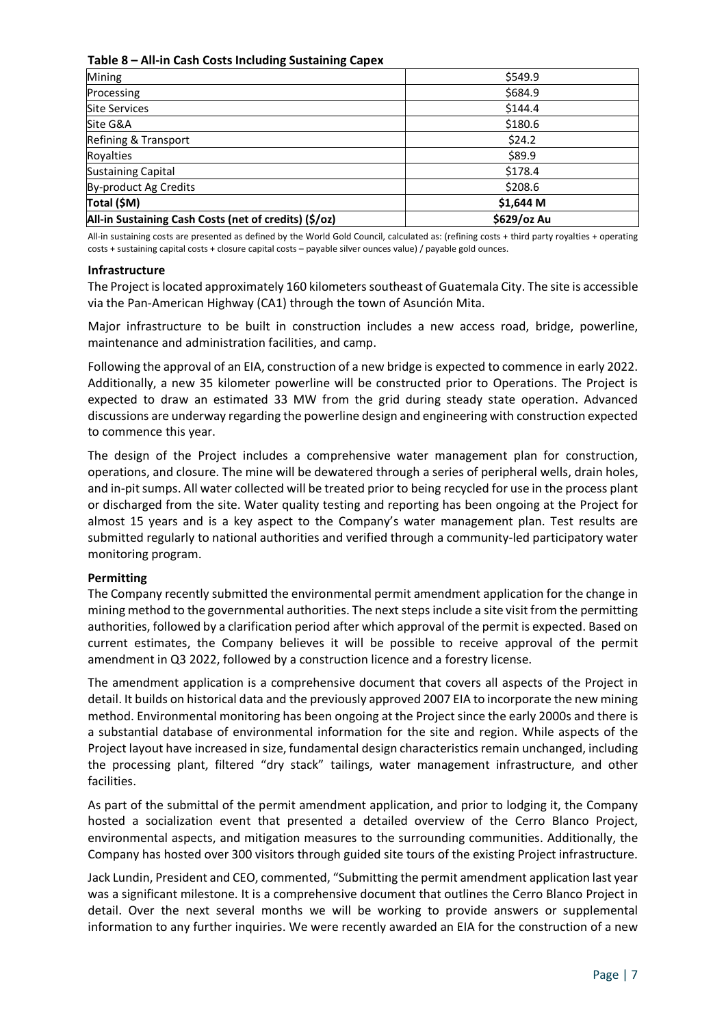# **Table 8 – All-in Cash Costs Including Sustaining Capex**

| Mining                                                | \$549.9     |
|-------------------------------------------------------|-------------|
| Processing                                            | \$684.9     |
| <b>Site Services</b>                                  | \$144.4     |
| Site G&A                                              | \$180.6     |
| Refining & Transport                                  | \$24.2      |
| Royalties                                             | \$89.9      |
| <b>Sustaining Capital</b>                             | \$178.4     |
| By-product Ag Credits                                 | \$208.6     |
| Total (\$M)                                           | \$1,644 M   |
| All-in Sustaining Cash Costs (net of credits) (\$/oz) | \$629/oz Au |

All-in sustaining costs are presented as defined by the World Gold Council, calculated as: (refining costs + third party royalties + operating costs + sustaining capital costs + closure capital costs – payable silver ounces value) / payable gold ounces.

### **Infrastructure**

The Project is located approximately 160 kilometerssoutheast of Guatemala City. The site is accessible via the Pan-American Highway (CA1) through the town of Asunción Mita.

Major infrastructure to be built in construction includes a new access road, bridge, powerline, maintenance and administration facilities, and camp.

Following the approval of an EIA, construction of a new bridge is expected to commence in early 2022. Additionally, a new 35 kilometer powerline will be constructed prior to Operations. The Project is expected to draw an estimated 33 MW from the grid during steady state operation. Advanced discussions are underway regarding the powerline design and engineering with construction expected to commence this year.

The design of the Project includes a comprehensive water management plan for construction, operations, and closure. The mine will be dewatered through a series of peripheral wells, drain holes, and in-pit sumps. All water collected will be treated prior to being recycled for use in the process plant or discharged from the site. Water quality testing and reporting has been ongoing at the Project for almost 15 years and is a key aspect to the Company's water management plan. Test results are submitted regularly to national authorities and verified through a community-led participatory water monitoring program.

# **Permitting**

The Company recently submitted the environmental permit amendment application for the change in mining method to the governmental authorities. The next steps include a site visit from the permitting authorities, followed by a clarification period after which approval of the permit is expected. Based on current estimates, the Company believes it will be possible to receive approval of the permit amendment in Q3 2022, followed by a construction licence and a forestry license.

The amendment application is a comprehensive document that covers all aspects of the Project in detail. It builds on historical data and the previously approved 2007 EIA to incorporate the new mining method. Environmental monitoring has been ongoing at the Project since the early 2000s and there is a substantial database of environmental information for the site and region. While aspects of the Project layout have increased in size, fundamental design characteristics remain unchanged, including the processing plant, filtered "dry stack" tailings, water management infrastructure, and other facilities.

As part of the submittal of the permit amendment application, and prior to lodging it, the Company hosted a socialization event that presented a detailed overview of the Cerro Blanco Project, environmental aspects, and mitigation measures to the surrounding communities. Additionally, the Company has hosted over 300 visitors through guided site tours of the existing Project infrastructure.

Jack Lundin, President and CEO, commented, "Submitting the permit amendment application last year was a significant milestone. It is a comprehensive document that outlines the Cerro Blanco Project in detail. Over the next several months we will be working to provide answers or supplemental information to any further inquiries. We were recently awarded an EIA for the construction of a new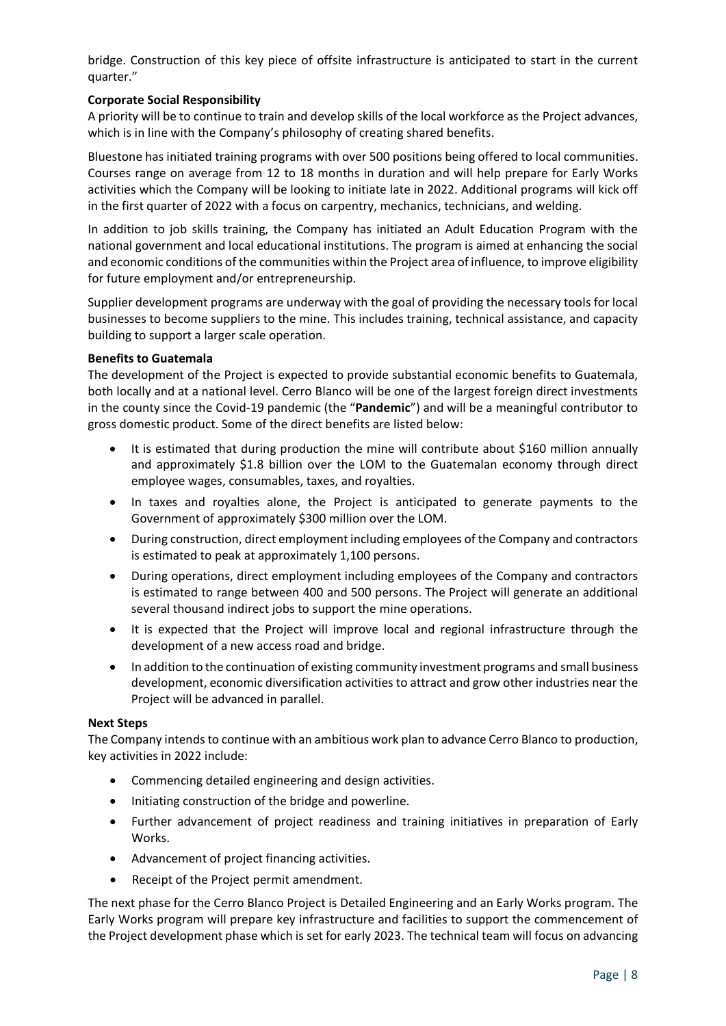bridge. Construction of this key piece of offsite infrastructure is anticipated to start in the current quarter."

# **Corporate Social Responsibility**

A priority will be to continue to train and develop skills of the local workforce as the Project advances, which is in line with the Company's philosophy of creating shared benefits.

Bluestone has initiated training programs with over 500 positions being offered to local communities. Courses range on average from 12 to 18 months in duration and will help prepare for Early Works activities which the Company will be looking to initiate late in 2022. Additional programs will kick off in the first quarter of 2022 with a focus on carpentry, mechanics, technicians, and welding.

In addition to job skills training, the Company has initiated an Adult Education Program with the national government and local educational institutions. The program is aimed at enhancing the social and economic conditions of the communities within the Project area of influence, to improve eligibility for future employment and/or entrepreneurship.

Supplier development programs are underway with the goal of providing the necessary tools for local businesses to become suppliers to the mine. This includes training, technical assistance, and capacity building to support a larger scale operation.

# **Benefits to Guatemala**

The development of the Project is expected to provide substantial economic benefits to Guatemala, both locally and at a national level. Cerro Blanco will be one of the largest foreign direct investments in the county since the Covid-19 pandemic (the "**Pandemic**") and will be a meaningful contributor to gross domestic product. Some of the direct benefits are listed below:

- It is estimated that during production the mine will contribute about \$160 million annually and approximately \$1.8 billion over the LOM to the Guatemalan economy through direct employee wages, consumables, taxes, and royalties.
- In taxes and royalties alone, the Project is anticipated to generate payments to the Government of approximately \$300 million over the LOM.
- During construction, direct employment including employees of the Company and contractors is estimated to peak at approximately 1,100 persons.
- During operations, direct employment including employees of the Company and contractors is estimated to range between 400 and 500 persons. The Project will generate an additional several thousand indirect jobs to support the mine operations.
- It is expected that the Project will improve local and regional infrastructure through the development of a new access road and bridge.
- In addition to the continuation of existing community investment programs and small business development, economic diversification activities to attract and grow other industries near the Project will be advanced in parallel.

### **Next Steps**

The Company intends to continue with an ambitious work plan to advance Cerro Blanco to production, key activities in 2022 include:

- Commencing detailed engineering and design activities.
- Initiating construction of the bridge and powerline.
- Further advancement of project readiness and training initiatives in preparation of Early Works.
- Advancement of project financing activities.
- Receipt of the Project permit amendment.

The next phase for the Cerro Blanco Project is Detailed Engineering and an Early Works program. The Early Works program will prepare key infrastructure and facilities to support the commencement of the Project development phase which is set for early 2023. The technical team will focus on advancing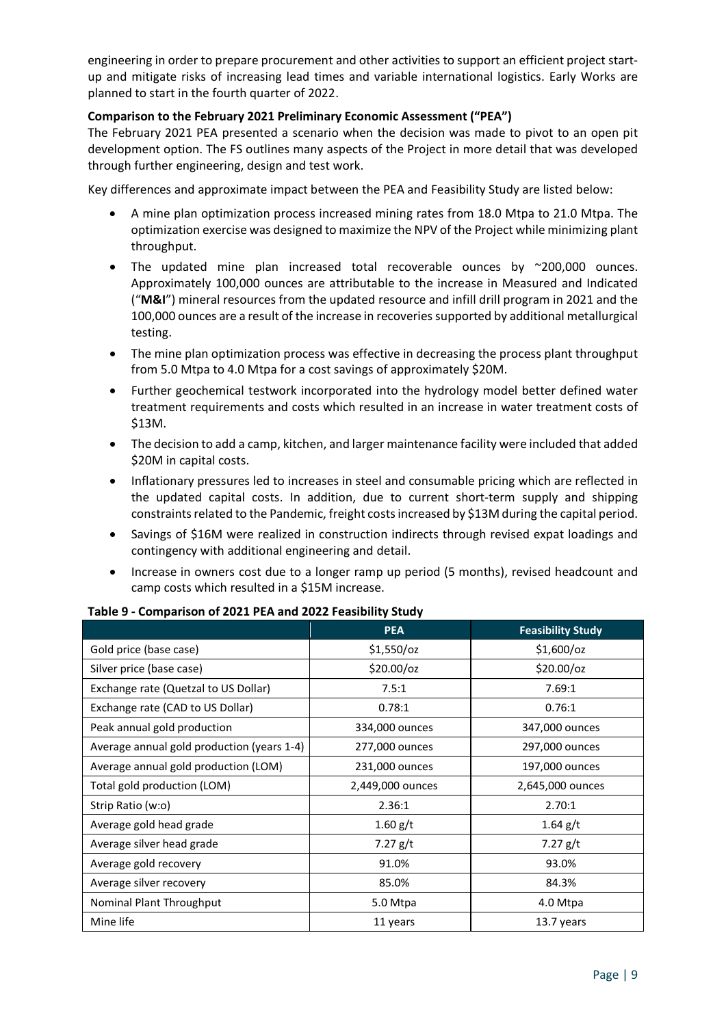engineering in order to prepare procurement and other activities to support an efficient project startup and mitigate risks of increasing lead times and variable international logistics. Early Works are planned to start in the fourth quarter of 2022.

# **Comparison to the February 2021 Preliminary Economic Assessment ("PEA")**

The February 2021 PEA presented a scenario when the decision was made to pivot to an open pit development option. The FS outlines many aspects of the Project in more detail that was developed through further engineering, design and test work.

Key differences and approximate impact between the PEA and Feasibility Study are listed below:

- A mine plan optimization process increased mining rates from 18.0 Mtpa to 21.0 Mtpa. The optimization exercise was designed to maximize the NPV of the Project while minimizing plant throughput.
- The updated mine plan increased total recoverable ounces by ~200,000 ounces. Approximately 100,000 ounces are attributable to the increase in Measured and Indicated ("**M&I**") mineral resources from the updated resource and infill drill program in 2021 and the 100,000 ounces are a result of the increase in recoveries supported by additional metallurgical testing.
- The mine plan optimization process was effective in decreasing the process plant throughput from 5.0 Mtpa to 4.0 Mtpa for a cost savings of approximately \$20M.
- Further geochemical testwork incorporated into the hydrology model better defined water treatment requirements and costs which resulted in an increase in water treatment costs of \$13M.
- The decision to add a camp, kitchen, and larger maintenance facility were included that added \$20M in capital costs.
- Inflationary pressures led to increases in steel and consumable pricing which are reflected in the updated capital costs. In addition, due to current short-term supply and shipping constraints related to the Pandemic, freight costs increased by \$13M during the capital period.
- Savings of \$16M were realized in construction indirects through revised expat loadings and contingency with additional engineering and detail.
- Increase in owners cost due to a longer ramp up period (5 months), revised headcount and camp costs which resulted in a \$15M increase.

|                                            | <b>PEA</b>       | <b>Feasibility Study</b> |
|--------------------------------------------|------------------|--------------------------|
| Gold price (base case)                     | $$1,550$ /oz     | $$1,600/$ oz             |
| Silver price (base case)                   | \$20.00/oz       | \$20.00/oz               |
| Exchange rate (Quetzal to US Dollar)       | 7.5:1            | 7.69:1                   |
| Exchange rate (CAD to US Dollar)           | 0.78:1           | 0.76:1                   |
| Peak annual gold production                | 334,000 ounces   | 347,000 ounces           |
| Average annual gold production (years 1-4) | 277,000 ounces   | 297,000 ounces           |
| Average annual gold production (LOM)       | 231,000 ounces   | 197,000 ounces           |
| Total gold production (LOM)                | 2,449,000 ounces | 2,645,000 ounces         |
| Strip Ratio (w:o)                          | 2.36:1           | 2.70:1                   |
| Average gold head grade                    | 1.60 g/t         | $1.64$ g/t               |
| Average silver head grade                  | 7.27 $g/t$       | $7.27$ g/t               |
| Average gold recovery                      | 91.0%            | 93.0%                    |
| Average silver recovery                    | 85.0%            | 84.3%                    |
| Nominal Plant Throughput                   | 5.0 Mtpa         | 4.0 Mtpa                 |
| Mine life                                  | 11 years         | 13.7 years               |

# **Table 9 - Comparison of 2021 PEA and 2022 Feasibility Study**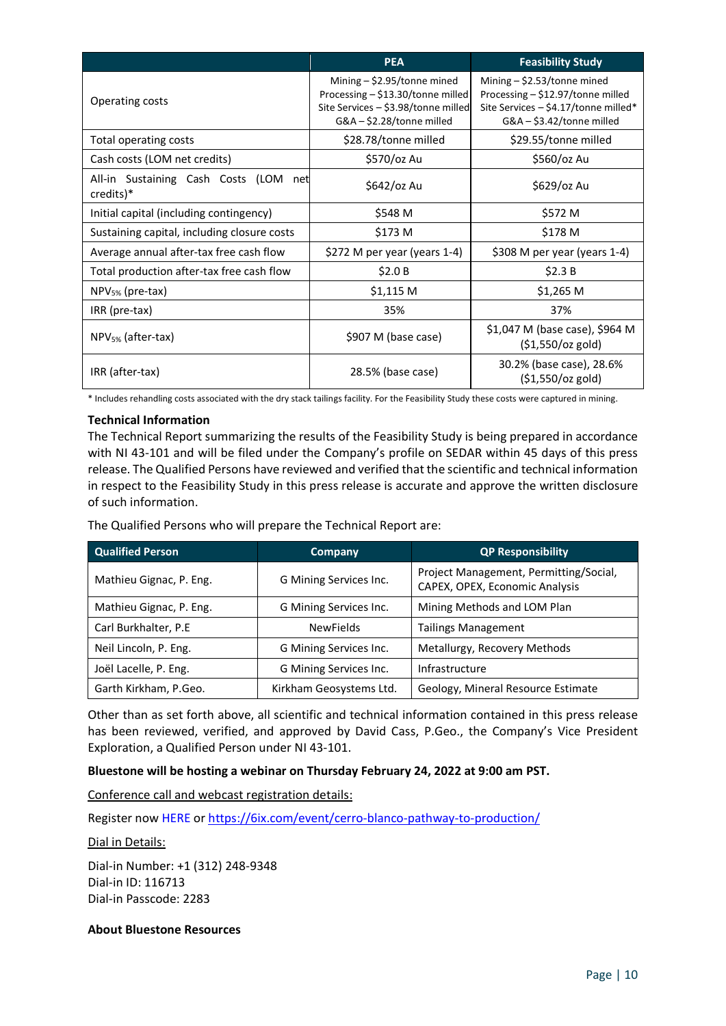|                                                       | <b>PEA</b>                                                                                                                               | <b>Feasibility Study</b>                                                                                                                      |  |
|-------------------------------------------------------|------------------------------------------------------------------------------------------------------------------------------------------|-----------------------------------------------------------------------------------------------------------------------------------------------|--|
| Operating costs                                       | Mining $-$ \$2.95/tonne mined<br>Processing - \$13.30/tonne milled<br>Site Services - \$3.98/tonne milled<br>$G&A - $2.28$ /tonne milled | Mining $-$ \$2.53/tonne mined<br>Processing $-$ \$12.97/tonne milled<br>Site Services $-$ \$4.17/tonne milled*<br>$G&A - $3.42$ /tonne milled |  |
| Total operating costs                                 | \$28.78/tonne milled                                                                                                                     | \$29.55/tonne milled                                                                                                                          |  |
| Cash costs (LOM net credits)                          | \$570/oz Au                                                                                                                              | \$560/oz Au                                                                                                                                   |  |
| All-in Sustaining Cash Costs (LOM<br>net<br>credits)* | \$642/oz Au                                                                                                                              | \$629/oz Au                                                                                                                                   |  |
| Initial capital (including contingency)               | \$548 M                                                                                                                                  | \$572 M                                                                                                                                       |  |
| Sustaining capital, including closure costs           | \$173 M                                                                                                                                  | \$178 M                                                                                                                                       |  |
| Average annual after-tax free cash flow               | \$272 M per year (years 1-4)                                                                                                             | \$308 M per year (years 1-4)                                                                                                                  |  |
| Total production after-tax free cash flow             | \$2.0 B                                                                                                                                  | \$2.3 B                                                                                                                                       |  |
| $NPV_{5\%}$ (pre-tax)                                 | $$1,115$ M                                                                                                                               | \$1,265 M                                                                                                                                     |  |
| IRR (pre-tax)                                         | 35%                                                                                                                                      | 37%                                                                                                                                           |  |
| NPV <sub>5%</sub> (after-tax)                         | \$907 M (base case)                                                                                                                      | \$1,047 M (base case), \$964 M<br>$(51,550/cz$ gold)                                                                                          |  |
| IRR (after-tax)                                       | 28.5% (base case)                                                                                                                        | 30.2% (base case), 28.6%<br>$(51,550/cz$ gold)                                                                                                |  |

\* Includes rehandling costs associated with the dry stack tailings facility. For the Feasibility Study these costs were captured in mining.

# **Technical Information**

The Technical Report summarizing the results of the Feasibility Study is being prepared in accordance with NI 43-101 and will be filed under the Company's profile on SEDAR within 45 days of this press release. The Qualified Persons have reviewed and verified that the scientific and technical information in respect to the Feasibility Study in this press release is accurate and approve the written disclosure of such information.

The Qualified Persons who will prepare the Technical Report are:

| <b>Qualified Person</b> | Company                 | <b>QP Responsibility</b>                                                 |
|-------------------------|-------------------------|--------------------------------------------------------------------------|
| Mathieu Gignac, P. Eng. | G Mining Services Inc.  | Project Management, Permitting/Social,<br>CAPEX, OPEX, Economic Analysis |
| Mathieu Gignac, P. Eng. | G Mining Services Inc.  | Mining Methods and LOM Plan                                              |
| Carl Burkhalter, P.E    | <b>NewFields</b>        | <b>Tailings Management</b>                                               |
| Neil Lincoln, P. Eng.   | G Mining Services Inc.  | Metallurgy, Recovery Methods                                             |
| Joël Lacelle, P. Eng.   | G Mining Services Inc.  | Infrastructure                                                           |
| Garth Kirkham, P.Geo.   | Kirkham Geosystems Ltd. | Geology, Mineral Resource Estimate                                       |

Other than as set forth above, all scientific and technical information contained in this press release has been reviewed, verified, and approved by David Cass, P.Geo., the Company's Vice President Exploration, a Qualified Person under NI 43-101.

# **Bluestone will be hosting a webinar on Thursday February 24, 2022 at 9:00 am PST.**

Conference call and webcast registration details:

Register now [HERE](https://6ix.com/event/cerro-blanco-pathway-to-production/) or<https://6ix.com/event/cerro-blanco-pathway-to-production/>

# Dial in Details:

Dial-in Number: +1 (312) 248-9348 Dial-in ID: 116713 Dial-in Passcode: 2283

# **About Bluestone Resources**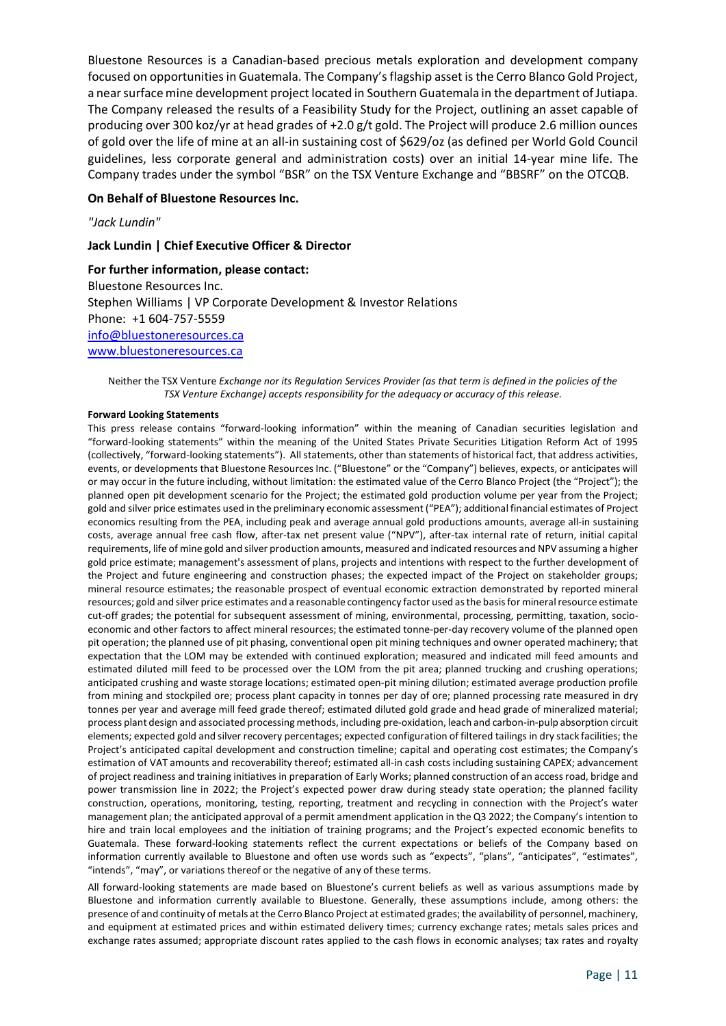Bluestone Resources is a Canadian-based precious metals exploration and development company focused on opportunities in Guatemala. The Company's flagship asset is the Cerro Blanco Gold Project, a near surface mine development project located in Southern Guatemala in the department of Jutiapa. The Company released the results of a Feasibility Study for the Project, outlining an asset capable of producing over 300 koz/yr at head grades of +2.0 g/t gold. The Project will produce 2.6 million ounces of gold over the life of mine at an all-in sustaining cost of \$629/oz (as defined per World Gold Council guidelines, less corporate general and administration costs) over an initial 14-year mine life. The Company trades under the symbol "BSR" on the TSX Venture Exchange and "BBSRF" on the OTCQB.

### **On Behalf of Bluestone Resources Inc.**

*"Jack Lundin"*

#### **Jack Lundin | Chief Executive Officer & Director**

#### **For further information, please contact:**

Bluestone Resources Inc. Stephen Williams | VP Corporate Development & Investor Relations Phone: +1 604-757-5559 [info@bluestoneresources.ca](mailto:info@bluestoneresources.ca) [www.bluestoneresources.ca](http://www.bluestoneresources.ca/) 

Neither the TSX Venture *Exchange nor its Regulation Services Provider (as that term is defined in the policies of the TSX Venture Exchange) accepts responsibility for the adequacy or accuracy of this release.*

#### **Forward Looking Statements**

This press release contains "forward-looking information" within the meaning of Canadian securities legislation and "forward-looking statements" within the meaning of the United States Private Securities Litigation Reform Act of 1995 (collectively, "forward-looking statements"). All statements, other than statements of historical fact, that address activities, events, or developments that Bluestone Resources Inc. ("Bluestone" or the "Company") believes, expects, or anticipates will or may occur in the future including, without limitation: the estimated value of the Cerro Blanco Project (the "Project"); the planned open pit development scenario for the Project; the estimated gold production volume per year from the Project; gold and silver price estimates used in the preliminary economic assessment ("PEA"); additional financial estimates of Project economics resulting from the PEA, including peak and average annual gold productions amounts, average all-in sustaining costs, average annual free cash flow, after-tax net present value ("NPV"), after-tax internal rate of return, initial capital requirements, life of mine gold and silver production amounts, measured and indicated resources and NPV assuming a higher gold price estimate; management's assessment of plans, projects and intentions with respect to the further development of the Project and future engineering and construction phases; the expected impact of the Project on stakeholder groups; mineral resource estimates; the reasonable prospect of eventual economic extraction demonstrated by reported mineral resources; gold and silver price estimates and a reasonable contingency factor used as the basis for mineral resource estimate cut-off grades; the potential for subsequent assessment of mining, environmental, processing, permitting, taxation, socioeconomic and other factors to affect mineral resources; the estimated tonne-per-day recovery volume of the planned open pit operation; the planned use of pit phasing, conventional open pit mining techniques and owner operated machinery; that expectation that the LOM may be extended with continued exploration; measured and indicated mill feed amounts and estimated diluted mill feed to be processed over the LOM from the pit area; planned trucking and crushing operations; anticipated crushing and waste storage locations; estimated open-pit mining dilution; estimated average production profile from mining and stockpiled ore; process plant capacity in tonnes per day of ore; planned processing rate measured in dry tonnes per year and average mill feed grade thereof; estimated diluted gold grade and head grade of mineralized material; process plant design and associated processing methods, including pre-oxidation, leach and carbon-in-pulp absorption circuit elements; expected gold and silver recovery percentages; expected configuration of filtered tailings in dry stack facilities; the Project's anticipated capital development and construction timeline; capital and operating cost estimates; the Company's estimation of VAT amounts and recoverability thereof; estimated all-in cash costs including sustaining CAPEX; advancement of project readiness and training initiatives in preparation of Early Works; planned construction of an access road, bridge and power transmission line in 2022; the Project's expected power draw during steady state operation; the planned facility construction, operations, monitoring, testing, reporting, treatment and recycling in connection with the Project's water management plan; the anticipated approval of a permit amendment application in the Q3 2022; the Company's intention to hire and train local employees and the initiation of training programs; and the Project's expected economic benefits to Guatemala. These forward-looking statements reflect the current expectations or beliefs of the Company based on information currently available to Bluestone and often use words such as "expects", "plans", "anticipates", "estimates", "intends", "may", or variations thereof or the negative of any of these terms.

All forward-looking statements are made based on Bluestone's current beliefs as well as various assumptions made by Bluestone and information currently available to Bluestone. Generally, these assumptions include, among others: the presence of and continuity of metals at the Cerro Blanco Project at estimated grades; the availability of personnel, machinery, and equipment at estimated prices and within estimated delivery times; currency exchange rates; metals sales prices and exchange rates assumed; appropriate discount rates applied to the cash flows in economic analyses; tax rates and royalty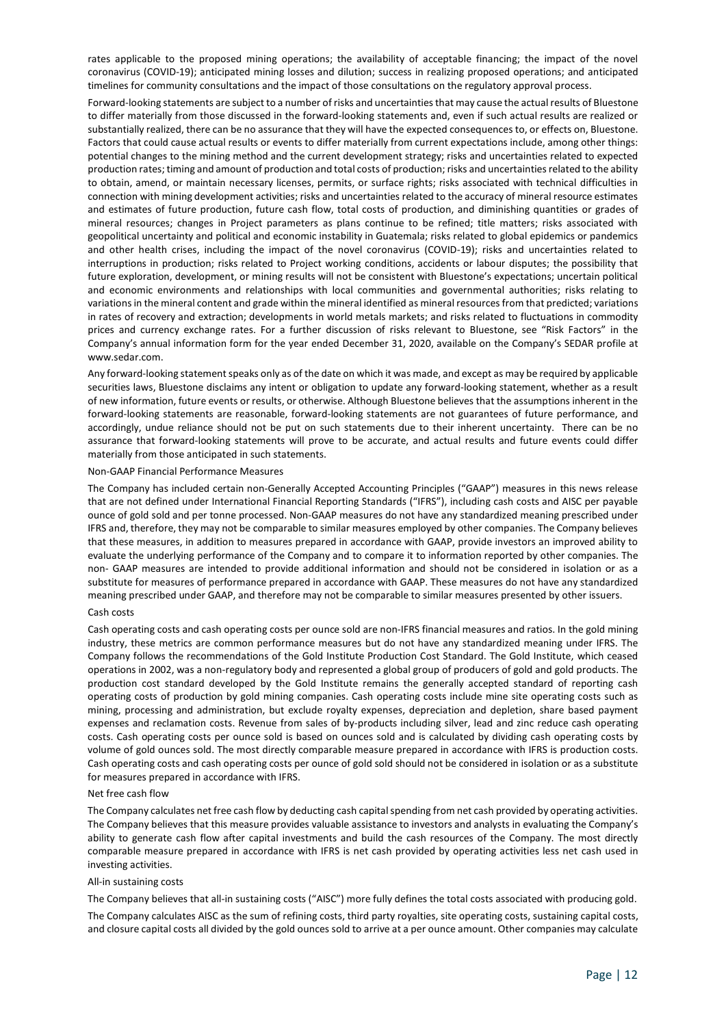rates applicable to the proposed mining operations; the availability of acceptable financing; the impact of the novel coronavirus (COVID-19); anticipated mining losses and dilution; success in realizing proposed operations; and anticipated timelines for community consultations and the impact of those consultations on the regulatory approval process.

Forward-looking statements are subject to a number of risks and uncertainties that may cause the actual results of Bluestone to differ materially from those discussed in the forward-looking statements and, even if such actual results are realized or substantially realized, there can be no assurance that they will have the expected consequences to, or effects on, Bluestone. Factors that could cause actual results or events to differ materially from current expectations include, among other things: potential changes to the mining method and the current development strategy; risks and uncertainties related to expected production rates; timing and amount of production and total costs of production; risks and uncertainties related to the ability to obtain, amend, or maintain necessary licenses, permits, or surface rights; risks associated with technical difficulties in connection with mining development activities; risks and uncertainties related to the accuracy of mineral resource estimates and estimates of future production, future cash flow, total costs of production, and diminishing quantities or grades of mineral resources; changes in Project parameters as plans continue to be refined; title matters; risks associated with geopolitical uncertainty and political and economic instability in Guatemala; risks related to global epidemics or pandemics and other health crises, including the impact of the novel coronavirus (COVID-19); risks and uncertainties related to interruptions in production; risks related to Project working conditions, accidents or labour disputes; the possibility that future exploration, development, or mining results will not be consistent with Bluestone's expectations; uncertain political and economic environments and relationships with local communities and governmental authorities; risks relating to variations in the mineral content and grade within the mineral identified as mineral resources from that predicted; variations in rates of recovery and extraction; developments in world metals markets; and risks related to fluctuations in commodity prices and currency exchange rates. For a further discussion of risks relevant to Bluestone, see "Risk Factors" in the Company's annual information form for the year ended December 31, 2020, available on the Company's SEDAR profile at www.sedar.com.

Any forward-looking statement speaks only as of the date on which it was made, and except as may be required by applicable securities laws, Bluestone disclaims any intent or obligation to update any forward-looking statement, whether as a result of new information, future events or results, or otherwise. Although Bluestone believes that the assumptions inherent in the forward-looking statements are reasonable, forward-looking statements are not guarantees of future performance, and accordingly, undue reliance should not be put on such statements due to their inherent uncertainty. There can be no assurance that forward-looking statements will prove to be accurate, and actual results and future events could differ materially from those anticipated in such statements.

#### Non-GAAP Financial Performance Measures

The Company has included certain non-Generally Accepted Accounting Principles ("GAAP") measures in this news release that are not defined under International Financial Reporting Standards ("IFRS"), including cash costs and AISC per payable ounce of gold sold and per tonne processed. Non-GAAP measures do not have any standardized meaning prescribed under IFRS and, therefore, they may not be comparable to similar measures employed by other companies. The Company believes that these measures, in addition to measures prepared in accordance with GAAP, provide investors an improved ability to evaluate the underlying performance of the Company and to compare it to information reported by other companies. The non- GAAP measures are intended to provide additional information and should not be considered in isolation or as a substitute for measures of performance prepared in accordance with GAAP. These measures do not have any standardized meaning prescribed under GAAP, and therefore may not be comparable to similar measures presented by other issuers.

#### Cash costs

Cash operating costs and cash operating costs per ounce sold are non-IFRS financial measures and ratios. In the gold mining industry, these metrics are common performance measures but do not have any standardized meaning under IFRS. The Company follows the recommendations of the Gold Institute Production Cost Standard. The Gold Institute, which ceased operations in 2002, was a non-regulatory body and represented a global group of producers of gold and gold products. The production cost standard developed by the Gold Institute remains the generally accepted standard of reporting cash operating costs of production by gold mining companies. Cash operating costs include mine site operating costs such as mining, processing and administration, but exclude royalty expenses, depreciation and depletion, share based payment expenses and reclamation costs. Revenue from sales of by-products including silver, lead and zinc reduce cash operating costs. Cash operating costs per ounce sold is based on ounces sold and is calculated by dividing cash operating costs by volume of gold ounces sold. The most directly comparable measure prepared in accordance with IFRS is production costs. Cash operating costs and cash operating costs per ounce of gold sold should not be considered in isolation or as a substitute for measures prepared in accordance with IFRS.

#### Net free cash flow

The Company calculates net free cash flow by deducting cash capital spending from net cash provided by operating activities. The Company believes that this measure provides valuable assistance to investors and analysts in evaluating the Company's ability to generate cash flow after capital investments and build the cash resources of the Company. The most directly comparable measure prepared in accordance with IFRS is net cash provided by operating activities less net cash used in investing activities.

#### All-in sustaining costs

The Company believes that all-in sustaining costs ("AISC") more fully defines the total costs associated with producing gold. The Company calculates AISC as the sum of refining costs, third party royalties, site operating costs, sustaining capital costs, and closure capital costs all divided by the gold ounces sold to arrive at a per ounce amount. Other companies may calculate